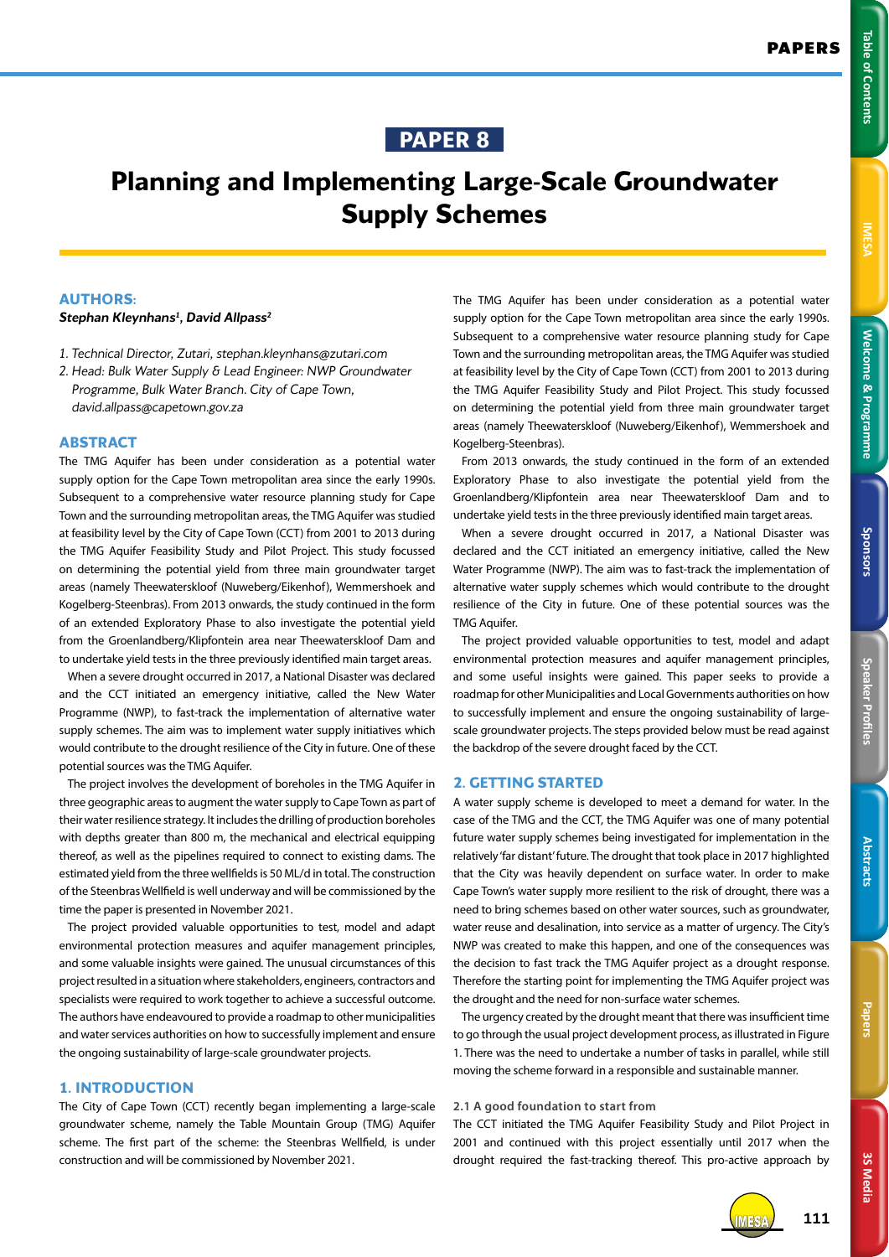# **PAPER 8**

# **Planning and Implementing Large-Scale Groundwater Supply Schemes**

## **AUTHORS:**

#### *Stephan Kleynhans1 , David Allpass2*

- *1. Technical Director, Zutari, stephan.kleynhans@zutari.com*
- *2. Head: Bulk Water Supply & Lead Engineer: NWP Groundwater Programme, Bulk Water Branch. City of Cape Town, david.allpass@capetown.gov.za*

#### **ABSTRACT**

The TMG Aquifer has been under consideration as a potential water supply option for the Cape Town metropolitan area since the early 1990s. Subsequent to a comprehensive water resource planning study for Cape Town and the surrounding metropolitan areas, the TMG Aquifer was studied at feasibility level by the City of Cape Town (CCT) from 2001 to 2013 during the TMG Aquifer Feasibility Study and Pilot Project. This study focussed on determining the potential yield from three main groundwater target areas (namely Theewaterskloof (Nuweberg/Eikenhof), Wemmershoek and Kogelberg-Steenbras). From 2013 onwards, the study continued in the form of an extended Exploratory Phase to also investigate the potential yield from the Groenlandberg/Klipfontein area near Theewaterskloof Dam and to undertake yield tests in the three previously identified main target areas.

When a severe drought occurred in 2017, a National Disaster was declared and the CCT initiated an emergency initiative, called the New Water Programme (NWP), to fast-track the implementation of alternative water supply schemes. The aim was to implement water supply initiatives which would contribute to the drought resilience of the City in future. One of these potential sources was the TMG Aquifer.

The project involves the development of boreholes in the TMG Aquifer in three geographic areas to augment the water supply to Cape Town as part of their water resilience strategy. It includes the drilling of production boreholes with depths greater than 800 m, the mechanical and electrical equipping thereof, as well as the pipelines required to connect to existing dams. The estimated yield from the three wellfields is 50 ML/d in total. The construction of the Steenbras Wellfield is well underway and will be commissioned by the time the paper is presented in November 2021.

The project provided valuable opportunities to test, model and adapt environmental protection measures and aquifer management principles, and some valuable insights were gained. The unusual circumstances of this project resulted in a situation where stakeholders, engineers, contractors and specialists were required to work together to achieve a successful outcome. The authors have endeavoured to provide a roadmap to other municipalities and water services authorities on how to successfully implement and ensure the ongoing sustainability of large-scale groundwater projects.

## **1. INTRODUCTION**

The City of Cape Town (CCT) recently began implementing a large-scale groundwater scheme, namely the Table Mountain Group (TMG) Aquifer scheme. The first part of the scheme: the Steenbras Wellfield, is under construction and will be commissioned by November 2021.

The TMG Aquifer has been under consideration as a potential water supply option for the Cape Town metropolitan area since the early 1990s. Subsequent to a comprehensive water resource planning study for Cape Town and the surrounding metropolitan areas, the TMG Aquifer was studied at feasibility level by the City of Cape Town (CCT) from 2001 to 2013 during the TMG Aquifer Feasibility Study and Pilot Project. This study focussed on determining the potential yield from three main groundwater target areas (namely Theewaterskloof (Nuweberg/Eikenhof), Wemmershoek and Kogelberg-Steenbras).

From 2013 onwards, the study continued in the form of an extended Exploratory Phase to also investigate the potential yield from the Groenlandberg/Klipfontein area near Theewaterskloof Dam and to undertake yield tests in the three previously identified main target areas.

When a severe drought occurred in 2017, a National Disaster was declared and the CCT initiated an emergency initiative, called the New Water Programme (NWP). The aim was to fast-track the implementation of alternative water supply schemes which would contribute to the drought resilience of the City in future. One of these potential sources was the TMG Aquifer.

The project provided valuable opportunities to test, model and adapt environmental protection measures and aquifer management principles, and some useful insights were gained. This paper seeks to provide a roadmap for other Municipalities and Local Governments authorities on how to successfully implement and ensure the ongoing sustainability of largescale groundwater projects. The steps provided below must be read against the backdrop of the severe drought faced by the CCT.

## **2. GETTING STARTED**

A water supply scheme is developed to meet a demand for water. In the case of the TMG and the CCT, the TMG Aquifer was one of many potential future water supply schemes being investigated for implementation in the relatively 'far distant' future. The drought that took place in 2017 highlighted that the City was heavily dependent on surface water. In order to make Cape Town's water supply more resilient to the risk of drought, there was a need to bring schemes based on other water sources, such as groundwater, water reuse and desalination, into service as a matter of urgency. The City's NWP was created to make this happen, and one of the consequences was the decision to fast track the TMG Aquifer project as a drought response. Therefore the starting point for implementing the TMG Aquifer project was the drought and the need for non-surface water schemes.

The urgency created by the drought meant that there was insufficient time to go through the usual project development process, as illustrated in Figure 1. There was the need to undertake a number of tasks in parallel, while still moving the scheme forward in a responsible and sustainable manner.

## **2.1 A good foundation to start from**

The CCT initiated the TMG Aquifer Feasibility Study and Pilot Project in 2001 and continued with this project essentially until 2017 when the drought required the fast-tracking thereof. This pro-active approach by



**3S Media**

3S Media

IMESA **111**

Table of Contents

**Papers Abstracts**

Papers

Abstracts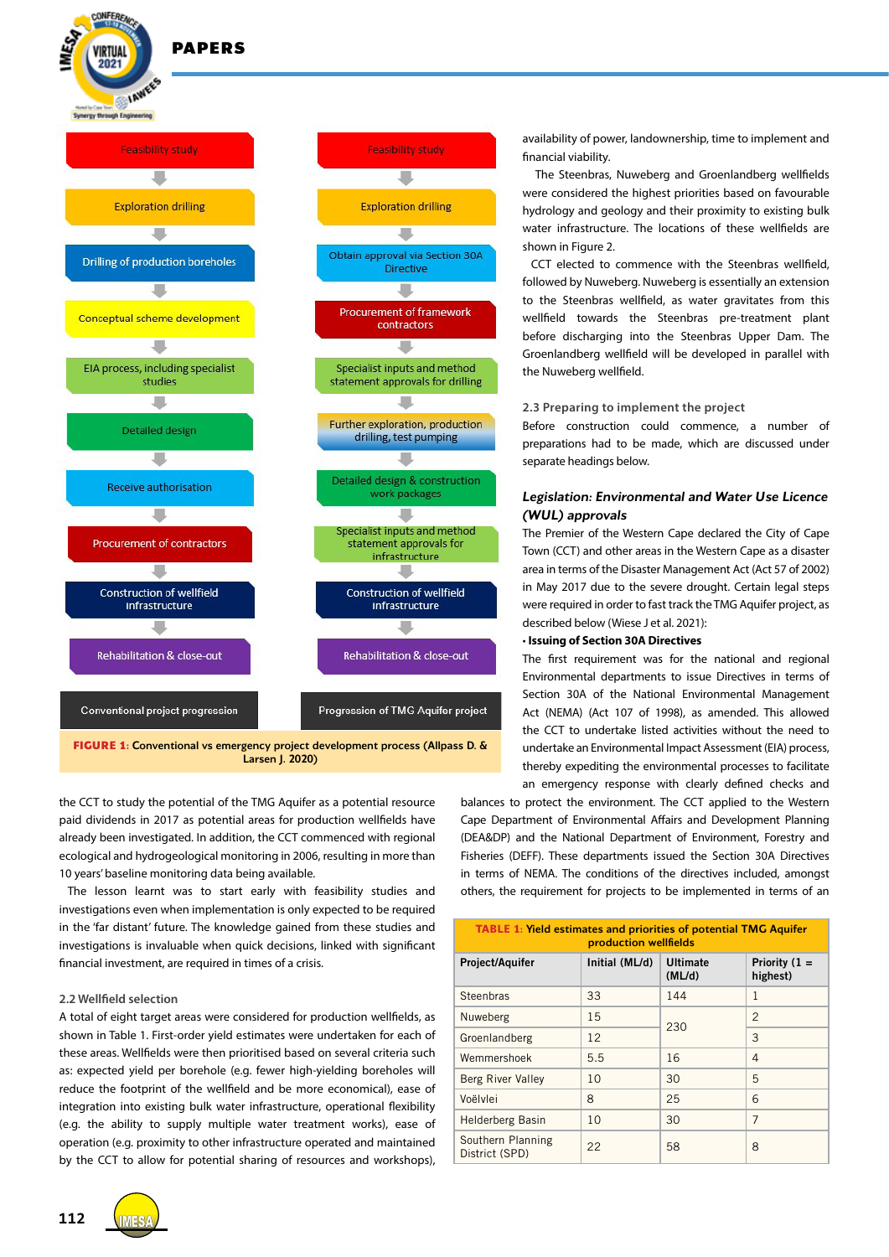

**CONFEREM** 

 $2021$ 



Larsen J. 2020)

the CCT to study the potential of the TMG Aquifer as a potential resource paid dividends in 2017 as potential areas for production wellfields have already been investigated. In addition, the CCT commenced with regional ecological and hydrogeological monitoring in 2006, resulting in more than 10 years' baseline monitoring data being available.

The lesson learnt was to start early with feasibility studies and investigations even when implementation is only expected to be required in the 'far distant' future. The knowledge gained from these studies and investigations is invaluable when quick decisions, linked with significant financial investment, are required in times of a crisis.

#### **2.2 Wellfield selection**

A total of eight target areas were considered for production wellfields, as shown in Table 1. First-order yield estimates were undertaken for each of these areas. Wellfields were then prioritised based on several criteria such as: expected yield per borehole (e.g. fewer high-yielding boreholes will reduce the footprint of the wellfield and be more economical), ease of integration into existing bulk water infrastructure, operational flexibility (e.g. the ability to supply multiple water treatment works), ease of operation (e.g. proximity to other infrastructure operated and maintained by the CCT to allow for potential sharing of resources and workshops),



availability of power, landownership, time to implement and financial viability.

 The Steenbras, Nuweberg and Groenlandberg wellfields were considered the highest priorities based on favourable hydrology and geology and their proximity to existing bulk water infrastructure. The locations of these wellfields are shown in Figure 2.

CCT elected to commence with the Steenbras wellfield, followed by Nuweberg. Nuweberg is essentially an extension to the Steenbras wellfield, as water gravitates from this wellfield towards the Steenbras pre-treatment plant before discharging into the Steenbras Upper Dam. The Groenlandberg wellfield will be developed in parallel with the Nuweberg wellfield.

#### **2.3 Preparing to implement the project**

Before construction could commence, a number of preparations had to be made, which are discussed under separate headings below.

## *Legislation: Environmental and Water Use Licence (WUL) approvals*

The Premier of the Western Cape declared the City of Cape Town (CCT) and other areas in the Western Cape as a disaster area in terms of the Disaster Management Act (Act 57 of 2002) in May 2017 due to the severe drought. Certain legal steps were required in order to fast track the TMG Aquifer project, as described below (Wiese J et al. 2021):

#### • **Issuing of Section 30A Directives**

The first requirement was for the national and regional Environmental departments to issue Directives in terms of Section 30A of the National Environmental Management Act (NEMA) (Act 107 of 1998), as amended. This allowed the CCT to undertake listed activities without the need to undertake an Environmental Impact Assessment (EIA) process, thereby expediting the environmental processes to facilitate an emergency response with clearly defined checks and

balances to protect the environment. The CCT applied to the Western Cape Department of Environmental Affairs and Development Planning (DEA&DP) and the National Department of Environment, Forestry and Fisheries (DEFF). These departments issued the Section 30A Directives in terms of NEMA. The conditions of the directives included, amongst others, the requirement for projects to be implemented in terms of an

| <b>TABLE 1: Yield estimates and priorities of potential TMG Aguifer</b><br>production wellfields |                |                           |                             |
|--------------------------------------------------------------------------------------------------|----------------|---------------------------|-----------------------------|
| Project/Aquifer                                                                                  | Initial (ML/d) | <b>Ultimate</b><br>(ML/d) | Priority $(1 =$<br>highest) |
| Steenbras                                                                                        | 33             | 144                       | 1                           |
| Nuweberg                                                                                         | 15             | 230                       | $\mathcal{P}$               |
| Groenlandberg                                                                                    | 12             |                           | 3                           |
| Wemmershoek                                                                                      | 5.5            | 16                        | 4                           |
| Berg River Valley                                                                                | 10             | 30                        | 5                           |
| Voëlvlei                                                                                         | 8              | 25                        | 6                           |
| <b>Helderberg Basin</b>                                                                          | 10             | 30                        | $\overline{7}$              |
| Southern Planning<br>District (SPD)                                                              | 22             | 58                        | 8                           |

**112**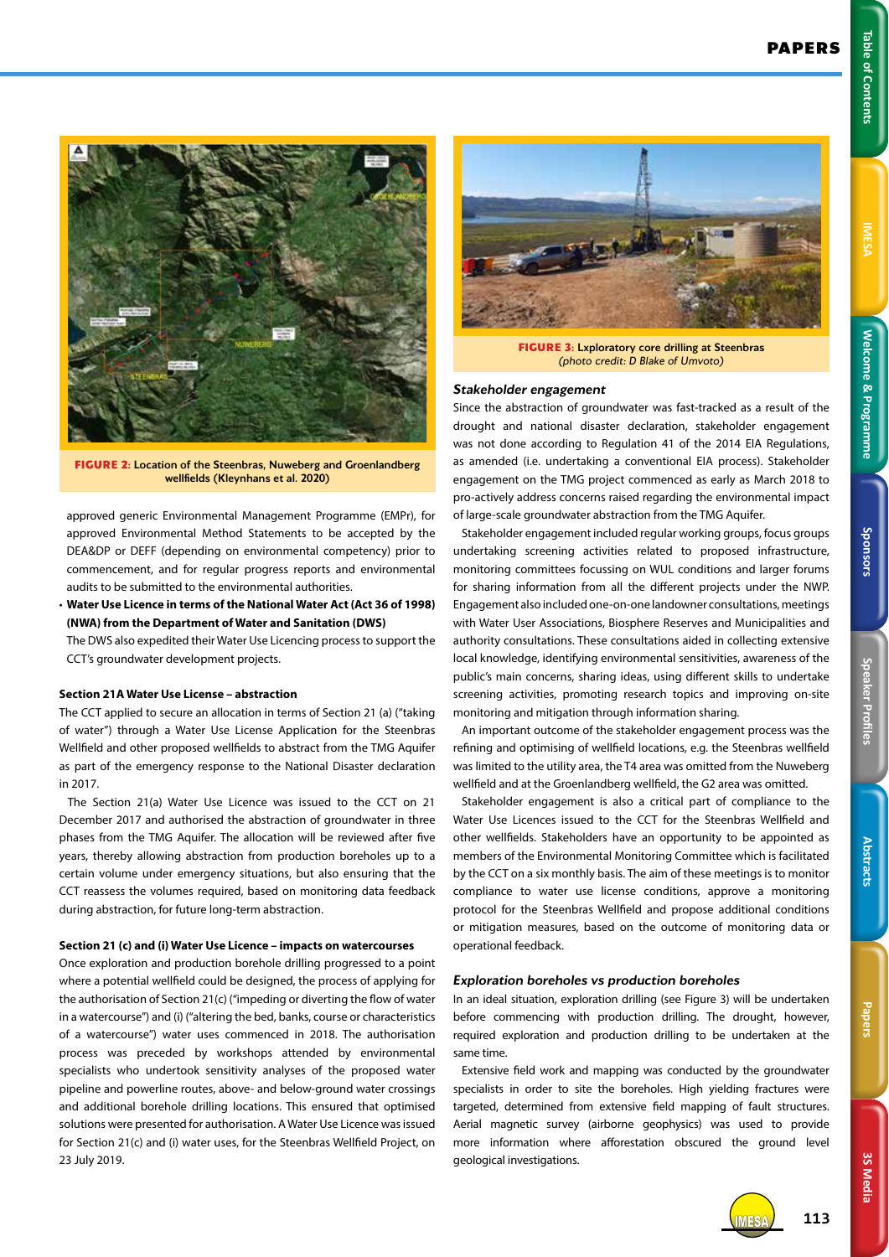**FIGURE 3:** Lxploratory core drilling at Steenbras *(photo credit: D Blake of Umvoto)*

## *Stakeholder engagement*

Since the abstraction of groundwater was fast-tracked as a result of the drought and national disaster declaration, stakeholder engagement was not done according to Regulation 41 of the 2014 EIA Regulations, as amended (i.e. undertaking a conventional EIA process). Stakeholder engagement on the TMG project commenced as early as March 2018 to pro-actively address concerns raised regarding the environmental impact of large-scale groundwater abstraction from the TMG Aquifer.

Stakeholder engagement included regular working groups, focus groups undertaking screening activities related to proposed infrastructure, monitoring committees focussing on WUL conditions and larger forums for sharing information from all the different projects under the NWP. Engagement also included one-on-one landowner consultations, meetings with Water User Associations, Biosphere Reserves and Municipalities and authority consultations. These consultations aided in collecting extensive local knowledge, identifying environmental sensitivities, awareness of the public's main concerns, sharing ideas, using different skills to undertake screening activities, promoting research topics and improving on-site monitoring and mitigation through information sharing.

An important outcome of the stakeholder engagement process was the refining and optimising of wellfield locations, e.g. the Steenbras wellfield was limited to the utility area, the T4 area was omitted from the Nuweberg wellfield and at the Groenlandberg wellfield, the G2 area was omitted.

Stakeholder engagement is also a critical part of compliance to the Water Use Licences issued to the CCT for the Steenbras Wellfield and other wellfields. Stakeholders have an opportunity to be appointed as members of the Environmental Monitoring Committee which is facilitated by the CCT on a six monthly basis. The aim of these meetings is to monitor compliance to water use license conditions, approve a monitoring protocol for the Steenbras Wellfield and propose additional conditions or mitigation measures, based on the outcome of monitoring data or operational feedback.

## *Exploration boreholes vs production boreholes*

In an ideal situation, exploration drilling (see Figure 3) will be undertaken before commencing with production drilling. The drought, however, required exploration and production drilling to be undertaken at the same time.

Extensive field work and mapping was conducted by the groundwater specialists in order to site the boreholes. High vielding fractures were targeted, determined from extensive field mapping of fault structures. Aerial magnetic survey (airborne geophysics) was used to provide more information where afforestation obscured the ground level geological investigations.



**FIGURE 2:** Location of the Steenbras, Nuweberg and Groenlandberg wellfields (Kleynhans et al. 2020)

approved generic Environmental Management Programme (EMPr), for approved Environmental Method Statements to be accepted by the DEA&DP or DEFF (depending on environmental competency) prior to commencement, and for regular progress reports and environmental audits to be submitted to the environmental authorities.

• **Water Use Licence in terms of the National Water Act (Act 36 of 1998) (NWA) from the Department of Water and Sanitation (DWS)**

The DWS also expedited their Water Use Licencing process to support the CCT's groundwater development projects.

## **Section 21A Water Use License – abstraction**

The CCT applied to secure an allocation in terms of Section 21 (a) ("taking of water") through a Water Use License Application for the Steenbras Wellfield and other proposed wellfields to abstract from the TMG Aquifer as part of the emergency response to the National Disaster declaration in 2017.

The Section 21(a) Water Use Licence was issued to the CCT on 21 December 2017 and authorised the abstraction of groundwater in three phases from the TMG Aquifer. The allocation will be reviewed after five years, thereby allowing abstraction from production boreholes up to a certain volume under emergency situations, but also ensuring that the CCT reassess the volumes required, based on monitoring data feedback during abstraction, for future long-term abstraction.

#### **Section 21 (c) and (i) Water Use Licence – impacts on watercourses**

Once exploration and production borehole drilling progressed to a point where a potential wellfield could be designed, the process of applying for the authorisation of Section 21(c) ("impeding or diverting the flow of water in a watercourse") and (i) ("altering the bed, banks, course or characteristics of a watercourse") water uses commenced in 2018. The authorisation process was preceded by workshops attended by environmental specialists who undertook sensitivity analyses of the proposed water pipeline and powerline routes, above- and below-ground water crossings and additional borehole drilling locations. This ensured that optimised solutions were presented for authorisation. A Water Use Licence was issued for Section 21(c) and (i) water uses, for the Steenbras Wellfield Project, on 23 July 2019.



**3S Media**

**3S Media** 

113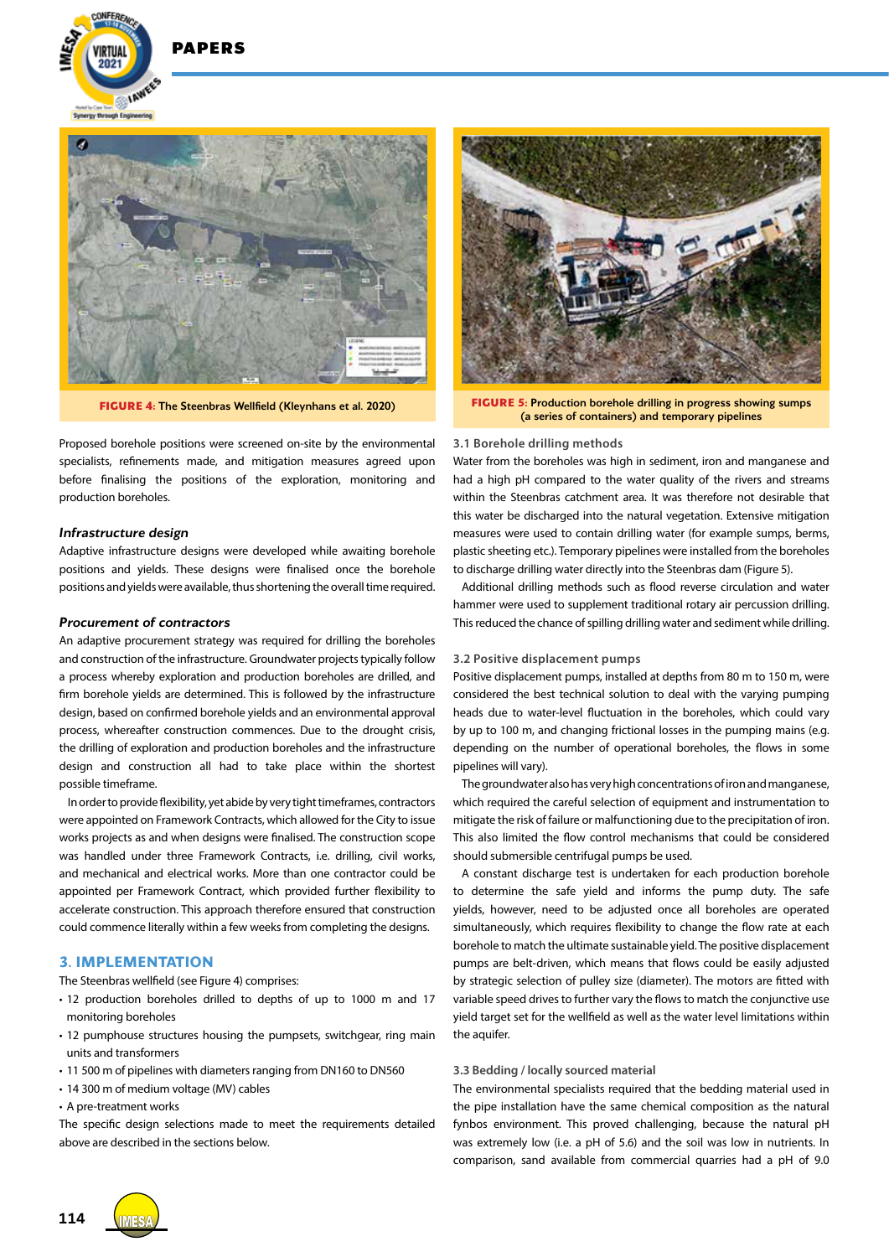**DADEDS** 

 $202 -$ 

**Synarov through Foole** 

**E LAWER** 



Proposed borehole positions were screened on-site by the environmental specialists, refinements made, and mitigation measures agreed upon before finalising the positions of the exploration, monitoring and production boreholes.

## *Infrastructure design*

Adaptive infrastructure designs were developed while awaiting borehole positions and yields. These designs were finalised once the borehole positions and yields were available, thus shortening the overall time required.

#### *Procurement of contractors*

An adaptive procurement strategy was required for drilling the boreholes and construction of the infrastructure. Groundwater projects typically follow a process whereby exploration and production boreholes are drilled, and firm borehole yields are determined. This is followed by the infrastructure design, based on confirmed borehole yields and an environmental approval process, whereafter construction commences. Due to the drought crisis, the drilling of exploration and production boreholes and the infrastructure design and construction all had to take place within the shortest possible timeframe.

In order to provide flexibility, yet abide by very tight timeframes, contractors were appointed on Framework Contracts, which allowed for the City to issue works projects as and when designs were finalised. The construction scope was handled under three Framework Contracts, i.e. drilling, civil works, and mechanical and electrical works. More than one contractor could be appointed per Framework Contract, which provided further flexibility to accelerate construction. This approach therefore ensured that construction could commence literally within a few weeks from completing the designs.

#### **3. IMPLEMENTATION**

The Steenbras wellfield (see Figure 4) comprises:

- 12 production boreholes drilled to depths of up to 1000 m and 17 monitoring boreholes
- 12 pumphouse structures housing the pumpsets, switchgear, ring main units and transformers
- 11 500 m of pipelines with diameters ranging from DN160 to DN560
- 14 300 m of medium voltage (MV) cables
- A pre-treatment works

The specific design selections made to meet the requirements detailed above are described in the sections below.



**FIGURE 4:** The Steenbras Wellfield (Kleynhans et al. 2020) **FIGURE 5:** Production borehole drilling in progress showing sumps (a series of containers) and temporary pipelines

#### **3.1 Borehole drilling methods**

Water from the boreholes was high in sediment, iron and manganese and had a high pH compared to the water quality of the rivers and streams within the Steenbras catchment area. It was therefore not desirable that this water be discharged into the natural vegetation. Extensive mitigation measures were used to contain drilling water (for example sumps, berms, plastic sheeting etc.). Temporary pipelines were installed from the boreholes to discharge drilling water directly into the Steenbras dam (Figure 5).

Additional drilling methods such as flood reverse circulation and water hammer were used to supplement traditional rotary air percussion drilling. This reduced the chance of spilling drilling water and sediment while drilling.

#### **3.2 Positive displacement pumps**

Positive displacement pumps, installed at depths from 80 m to 150 m, were considered the best technical solution to deal with the varying pumping heads due to water-level fluctuation in the boreholes, which could vary by up to 100 m, and changing frictional losses in the pumping mains (e.g. depending on the number of operational boreholes, the flows in some pipelines will vary).

The groundwater also has very high concentrations of iron and manganese, which required the careful selection of equipment and instrumentation to mitigate the risk of failure or malfunctioning due to the precipitation of iron. This also limited the flow control mechanisms that could be considered should submersible centrifugal pumps be used.

A constant discharge test is undertaken for each production borehole to determine the safe yield and informs the pump duty. The safe yields, however, need to be adjusted once all boreholes are operated simultaneously, which requires flexibility to change the flow rate at each borehole to match the ultimate sustainable yield. The positive displacement pumps are belt-driven, which means that flows could be easily adjusted by strategic selection of pulley size (diameter). The motors are fitted with variable speed drives to further vary the flows to match the conjunctive use yield target set for the wellfield as well as the water level limitations within the aquifer.

#### **3.3 Bedding / locally sourced material**

The environmental specialists required that the bedding material used in the pipe installation have the same chemical composition as the natural fynbos environment. This proved challenging, because the natural pH was extremely low (i.e. a pH of 5.6) and the soil was low in nutrients. In comparison, sand available from commercial quarries had a pH of 9.0

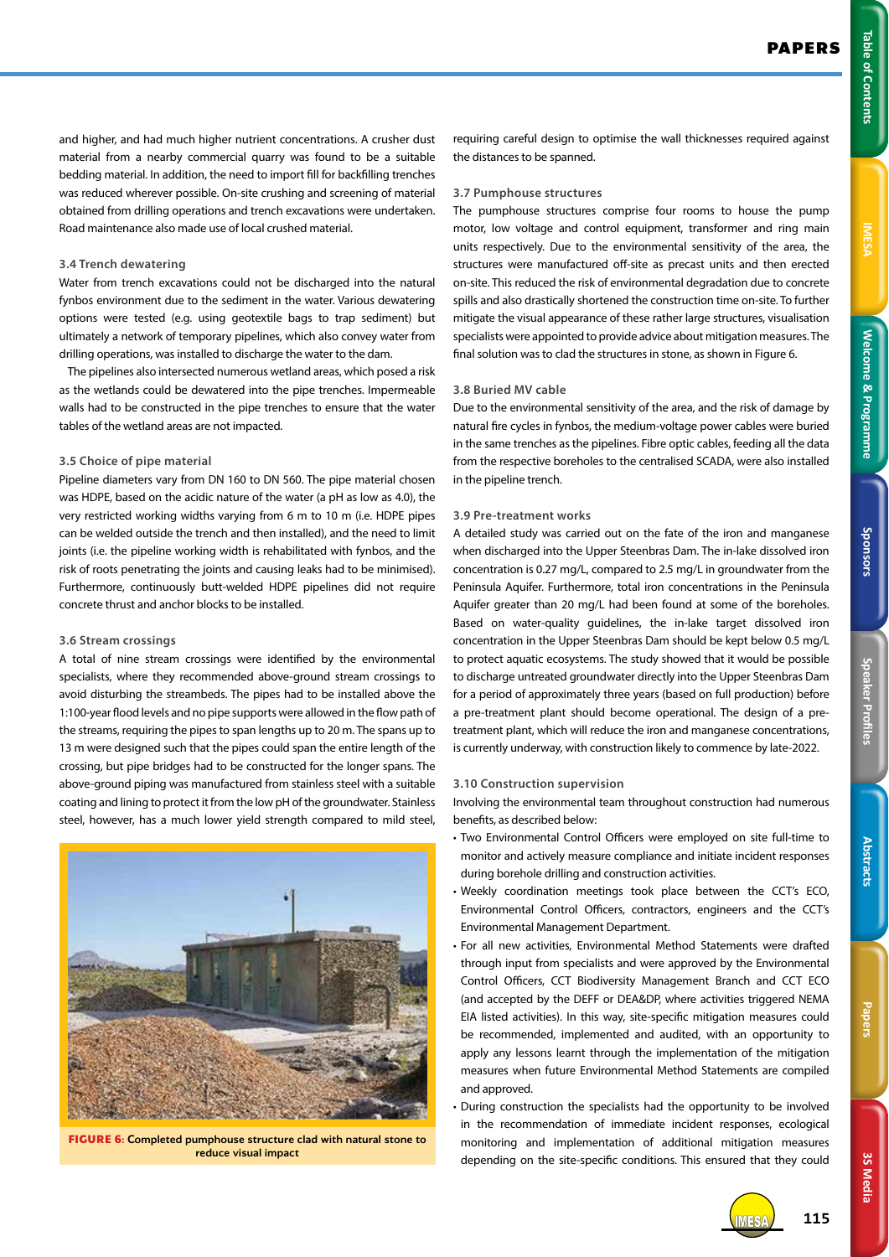3S Media **3S Media**

and higher, and had much higher nutrient concentrations. A crusher dust material from a nearby commercial quarry was found to be a suitable bedding material. In addition, the need to import fill for backfilling trenches was reduced wherever possible. On-site crushing and screening of material obtained from drilling operations and trench excavations were undertaken. Road maintenance also made use of local crushed material.

#### **3.4 Trench dewatering**

Water from trench excavations could not be discharged into the natural fynbos environment due to the sediment in the water. Various dewatering options were tested (e.g. using geotextile bags to trap sediment) but ultimately a network of temporary pipelines, which also convey water from drilling operations, was installed to discharge the water to the dam.

The pipelines also intersected numerous wetland areas, which posed a risk as the wetlands could be dewatered into the pipe trenches. Impermeable walls had to be constructed in the pipe trenches to ensure that the water tables of the wetland areas are not impacted.

#### **3.5 Choice of pipe material**

Pipeline diameters vary from DN 160 to DN 560. The pipe material chosen was HDPE, based on the acidic nature of the water (a pH as low as 4.0), the very restricted working widths varying from 6 m to 10 m (i.e. HDPE pipes can be welded outside the trench and then installed), and the need to limit joints (i.e. the pipeline working width is rehabilitated with fynbos, and the risk of roots penetrating the joints and causing leaks had to be minimised). Furthermore, continuously butt-welded HDPE pipelines did not require concrete thrust and anchor blocks to be installed.

#### **3.6 Stream crossings**

A total of nine stream crossings were identified by the environmental specialists, where they recommended above-ground stream crossings to avoid disturbing the streambeds. The pipes had to be installed above the 1:100-year flood levels and no pipe supports were allowed in the flow path of the streams, requiring the pipes to span lengths up to 20 m. The spans up to 13 m were designed such that the pipes could span the entire length of the crossing, but pipe bridges had to be constructed for the longer spans. The above-ground piping was manufactured from stainless steel with a suitable coating and lining to protect it from the low pH of the groundwater. Stainless steel, however, has a much lower yield strength compared to mild steel,



**FIGURE 6:** Completed pumphouse structure clad with natural stone to reduce visual impact

requiring careful design to optimise the wall thicknesses required against the distances to be spanned.

## **3.7 Pumphouse structures**

The pumphouse structures comprise four rooms to house the pump motor, low voltage and control equipment, transformer and ring main units respectively. Due to the environmental sensitivity of the area, the structures were manufactured off-site as precast units and then erected on-site. This reduced the risk of environmental degradation due to concrete spills and also drastically shortened the construction time on-site. To further mitigate the visual appearance of these rather large structures, visualisation specialists were appointed to provide advice about mitigation measures. The final solution was to clad the structures in stone, as shown in Figure 6.

## **3.8 Buried MV cable**

Due to the environmental sensitivity of the area, and the risk of damage by natural fire cycles in fynbos, the medium-voltage power cables were buried in the same trenches as the pipelines. Fibre optic cables, feeding all the data from the respective boreholes to the centralised SCADA, were also installed in the pipeline trench.

## **3.9 Pre-treatment works**

A detailed study was carried out on the fate of the iron and manganese when discharged into the Upper Steenbras Dam. The in-lake dissolved iron concentration is 0.27 mg/L, compared to 2.5 mg/L in groundwater from the Peninsula Aquifer. Furthermore, total iron concentrations in the Peninsula Aquifer greater than 20 mg/L had been found at some of the boreholes. Based on water-quality guidelines, the in-lake target dissolved iron concentration in the Upper Steenbras Dam should be kept below 0.5 mg/L to protect aquatic ecosystems. The study showed that it would be possible to discharge untreated groundwater directly into the Upper Steenbras Dam for a period of approximately three years (based on full production) before a pre-treatment plant should become operational. The design of a pretreatment plant, which will reduce the iron and manganese concentrations, is currently underway, with construction likely to commence by late-2022.

#### **3.10 Construction supervision**

Involving the environmental team throughout construction had numerous benefits, as described below:

- Two Environmental Control Officers were employed on site full-time to monitor and actively measure compliance and initiate incident responses during borehole drilling and construction activities.
- Weekly coordination meetings took place between the CCT's ECO, Environmental Control Officers, contractors, engineers and the CCT's Environmental Management Department.
- For all new activities, Environmental Method Statements were drafted through input from specialists and were approved by the Environmental Control Officers, CCT Biodiversity Management Branch and CCT ECO (and accepted by the DEFF or DEA&DP, where activities triggered NEMA EIA listed activities). In this way, site-specific mitigation measures could be recommended, implemented and audited, with an opportunity to apply any lessons learnt through the implementation of the mitigation measures when future Environmental Method Statements are compiled and approved.
- During construction the specialists had the opportunity to be involved in the recommendation of immediate incident responses, ecological monitoring and implementation of additional mitigation measures depending on the site-specific conditions. This ensured that they could

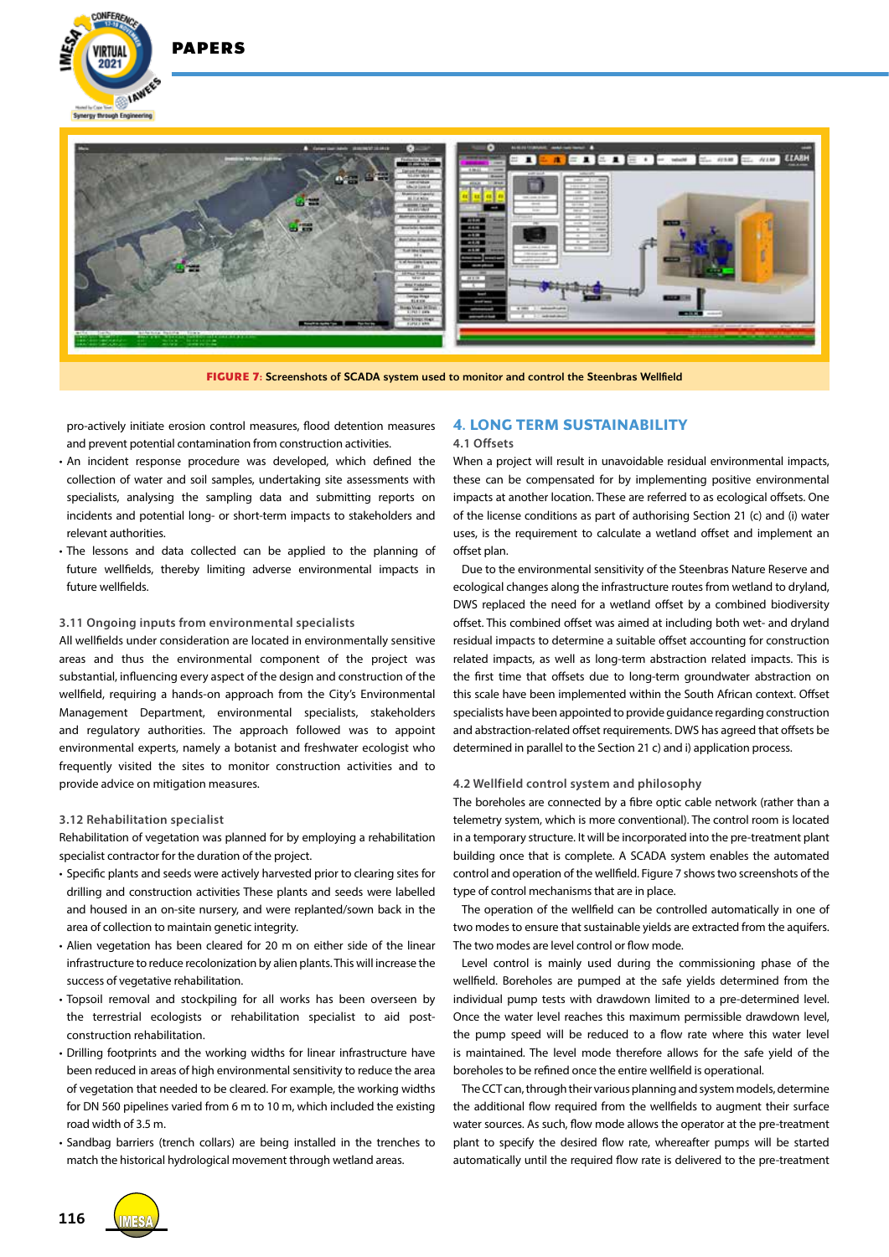



**FIGURE 7:** Screenshots of SCADA system used to monitor and control the Steenbras Wellfield

pro-actively initiate erosion control measures, flood detention measures and prevent potential contamination from construction activities.

- An incident response procedure was developed, which defined the collection of water and soil samples, undertaking site assessments with specialists, analysing the sampling data and submitting reports on incidents and potential long- or short-term impacts to stakeholders and relevant authorities.
- The lessons and data collected can be applied to the planning of future wellfields, thereby limiting adverse environmental impacts in future wellfields.

#### **3.11 Ongoing inputs from environmental specialists**

All wellfields under consideration are located in environmentally sensitive areas and thus the environmental component of the project was substantial, influencing every aspect of the design and construction of the wellfield, requiring a hands-on approach from the City's Environmental Management Department, environmental specialists, stakeholders and regulatory authorities. The approach followed was to appoint environmental experts, namely a botanist and freshwater ecologist who frequently visited the sites to monitor construction activities and to provide advice on mitigation measures.

#### **3.12 Rehabilitation specialist**

Rehabilitation of vegetation was planned for by employing a rehabilitation specialist contractor for the duration of the project.

- Specific plants and seeds were actively harvested prior to clearing sites for drilling and construction activities These plants and seeds were labelled and housed in an on-site nursery, and were replanted/sown back in the area of collection to maintain genetic integrity.
- Alien vegetation has been cleared for 20 m on either side of the linear infrastructure to reduce recolonization by alien plants. This will increase the success of vegetative rehabilitation.
- Topsoil removal and stockpiling for all works has been overseen by the terrestrial ecologists or rehabilitation specialist to aid postconstruction rehabilitation.
- Drilling footprints and the working widths for linear infrastructure have been reduced in areas of high environmental sensitivity to reduce the area of vegetation that needed to be cleared. For example, the working widths for DN 560 pipelines varied from 6 m to 10 m, which included the existing road width of 3.5 m.
- Sandbag barriers (trench collars) are being installed in the trenches to match the historical hydrological movement through wetland areas.

# **4. LONG TERM SUSTAINABILITY**

#### **4.1 Offsets**

When a project will result in unavoidable residual environmental impacts, these can be compensated for by implementing positive environmental impacts at another location. These are referred to as ecological offsets. One of the license conditions as part of authorising Section 21 (c) and (i) water uses, is the requirement to calculate a wetland offset and implement an offset plan.

Due to the environmental sensitivity of the Steenbras Nature Reserve and ecological changes along the infrastructure routes from wetland to dryland, DWS replaced the need for a wetland offset by a combined biodiversity offset. This combined offset was aimed at including both wet- and dryland residual impacts to determine a suitable offset accounting for construction related impacts, as well as long-term abstraction related impacts. This is the first time that offsets due to long-term groundwater abstraction on this scale have been implemented within the South African context. Offset specialists have been appointed to provide guidance regarding construction and abstraction-related offset requirements. DWS has agreed that offsets be determined in parallel to the Section 21 c) and i) application process.

#### **4.2 Wellfield control system and philosophy**

The boreholes are connected by a fibre optic cable network (rather than a telemetry system, which is more conventional). The control room is located in a temporary structure. It will be incorporated into the pre-treatment plant building once that is complete. A SCADA system enables the automated control and operation of the wellfield. Figure 7 shows two screenshots of the type of control mechanisms that are in place.

The operation of the wellfield can be controlled automatically in one of two modes to ensure that sustainable yields are extracted from the aquifers. The two modes are level control or flow mode.

Level control is mainly used during the commissioning phase of the wellfield. Boreholes are pumped at the safe yields determined from the individual pump tests with drawdown limited to a pre-determined level. Once the water level reaches this maximum permissible drawdown level, the pump speed will be reduced to a flow rate where this water level is maintained. The level mode therefore allows for the safe yield of the boreholes to be refined once the entire wellfield is operational.

The CCT can, through their various planning and system models, determine the additional flow required from the wellfields to augment their surface water sources. As such, flow mode allows the operator at the pre-treatment plant to specify the desired flow rate, whereafter pumps will be started automatically until the required flow rate is delivered to the pre-treatment